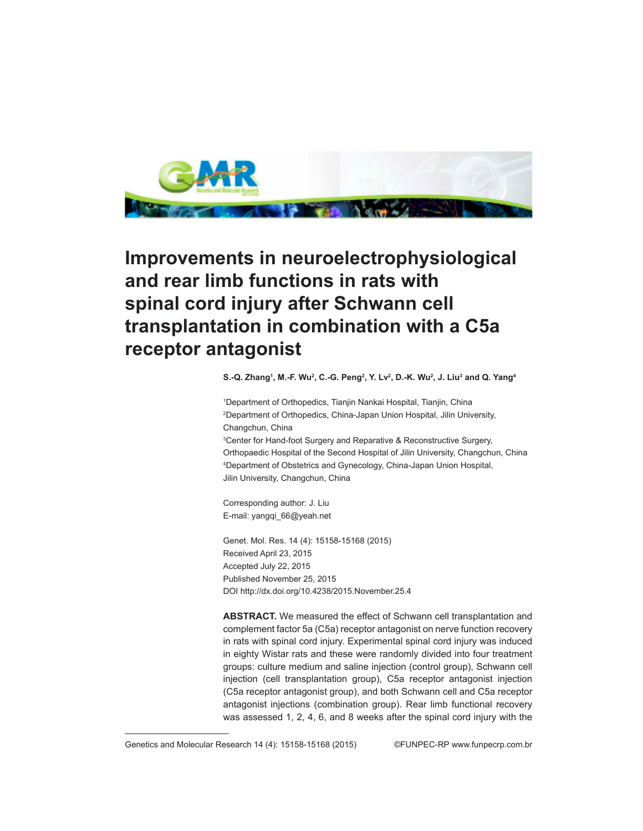

## **Improvements in neuroelectrophysiological and rear limb functions in rats with spinal cord injury after Schwann cell transplantation in combination with a C5a receptor antagonist**

**S.-Q. Zhang1 , M.-F. Wu2 , C.-G. Peng2 , Y. Lv2 , D.-K. Wu2 , J. Liu3 and Q. Yang4**

 Department of Orthopedics, Tianjin Nankai Hospital, Tianjin, China Department of Orthopedics, China-Japan Union Hospital, Jilin University, Changchun, China Center for Hand-foot Surgery and Reparative & Reconstructive Surgery, Orthopaedic Hospital of the Second Hospital of Jilin University, Changchun, China Department of Obstetrics and Gynecology, China-Japan Union Hospital,

Corresponding author: J. Liu E-mail: yangqi\_66@yeah.net

Jilin University, Changchun, China

Genet. Mol. Res. 14 (4): 15158-15168 (2015) Received April 23, 2015 Accepted July 22, 2015 Published November 25, 2015 DOI http://dx.doi.org/10.4238/2015.November.25.4

**ABSTRACT.** We measured the effect of Schwann cell transplantation and complement factor 5a (C5a) receptor antagonist on nerve function recovery in rats with spinal cord injury. Experimental spinal cord injury was induced in eighty Wistar rats and these were randomly divided into four treatment groups: culture medium and saline injection (control group), Schwann cell injection (cell transplantation group), C5a receptor antagonist injection (C5a receptor antagonist group), and both Schwann cell and C5a receptor antagonist injections (combination group). Rear limb functional recovery was assessed 1, 2, 4, 6, and 8 weeks after the spinal cord injury with the

Genetics and Molecular Research 14 (4): 15158-15168 (2015) ©FUNPEC-RP www.funpecrp.com.br